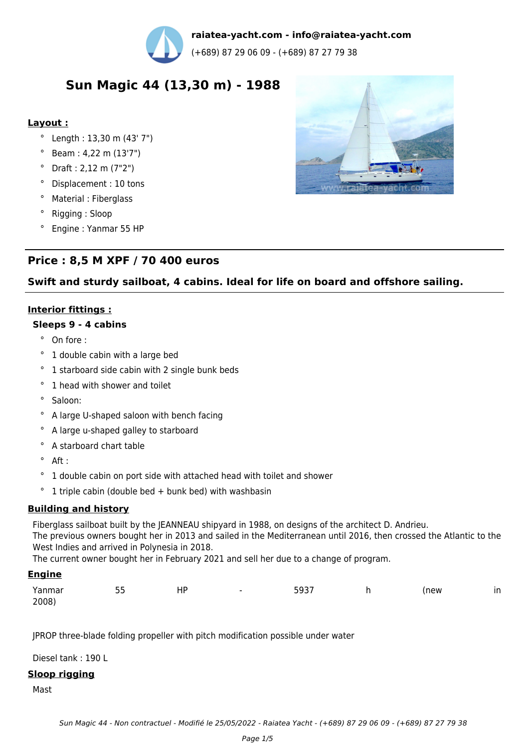

# **Sun Magic 44 (13,30 m) - 1988**

## **Layout :**

- ° Length : 13,30 m (43' 7")
- ° Beam : 4,22 m (13'7")
- ° Draft : 2,12 m (7"2")
- ° Displacement : 10 tons
- ° Material : Fiberglass
- ° Rigging : Sloop
- ° Engine : Yanmar 55 HP

## **Price : 8,5 M XPF / 70 400 euros**



## **Swift and sturdy sailboat, 4 cabins. Ideal for life on board and offshore sailing.**

## **Interior fittings :**

## **Sleeps 9 - 4 cabins**

- ° On fore :
- ° 1 double cabin with a large bed
- ° 1 starboard side cabin with 2 single bunk beds
- ° 1 head with shower and toilet
- ° Saloon:
- ° A large U-shaped saloon with bench facing
- ° A large u-shaped galley to starboard
- ° A starboard chart table
- $\degree$  Aft :
- ° 1 double cabin on port side with attached head with toilet and shower
- $\degree$  1 triple cabin (double bed + bunk bed) with washbasin

## **Building and history**

Fiberglass sailboat built by the IEANNEAU shipyard in 1988, on designs of the architect D. Andrieu.

The previous owners bought her in 2013 and sailed in the Mediterranean until 2016, then crossed the Atlantic to the West Indies and arrived in Polynesia in 2018.

The current owner bought her in February 2021 and sell her due to a change of program.

## **Engine**

| Yanmar | r r<br>בה<br>-- | HP | $\overline{\phantom{a}}$ | 5937<br>--- | new) | in |
|--------|-----------------|----|--------------------------|-------------|------|----|
| 2008)  |                 |    |                          |             |      |    |

JPROP three-blade folding propeller with pitch modification possible under water

Diesel tank : 190 L

## **Sloop rigging**

Mast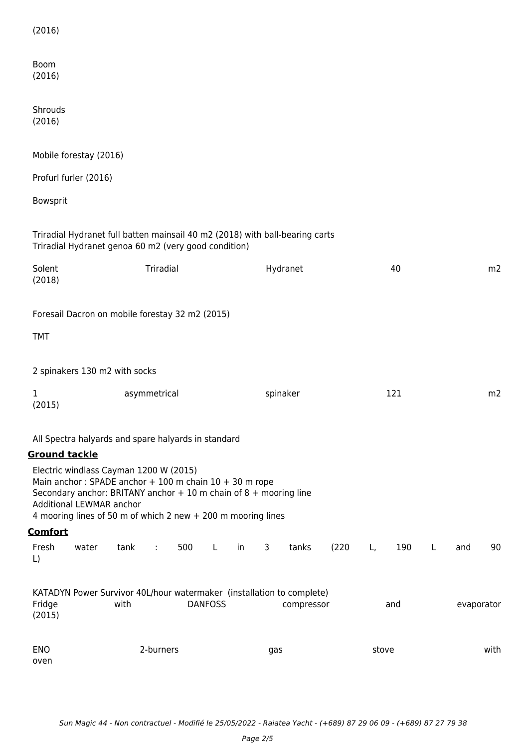(2016)

Boom (2016)

Shrouds (2016)

Mobile forestay (2016)

Profurl furler (2016)

Bowsprit

Triradial Hydranet full batten mainsail 40 m2 (2018) with ball-bearing carts Triradial Hydranet genoa 60 m2 (very good condition)

| Solent<br>(2018)                                                                                                                                                                                                                                                            |           | Triradial            |                | Hydranet |                |            |       | 40 |      |   | m2         |    |
|-----------------------------------------------------------------------------------------------------------------------------------------------------------------------------------------------------------------------------------------------------------------------------|-----------|----------------------|----------------|----------|----------------|------------|-------|----|------|---|------------|----|
| Foresail Dacron on mobile forestay 32 m2 (2015)                                                                                                                                                                                                                             |           |                      |                |          |                |            |       |    |      |   |            |    |
| <b>TMT</b>                                                                                                                                                                                                                                                                  |           |                      |                |          |                |            |       |    |      |   |            |    |
| 2 spinakers 130 m2 with socks                                                                                                                                                                                                                                               |           |                      |                |          |                |            |       |    |      |   |            |    |
| 1<br>(2015)                                                                                                                                                                                                                                                                 |           | asymmetrical         |                |          |                | spinaker   |       |    | 121  |   |            | m2 |
| All Spectra halyards and spare halyards in standard                                                                                                                                                                                                                         |           |                      |                |          |                |            |       |    |      |   |            |    |
| <b>Ground tackle</b>                                                                                                                                                                                                                                                        |           |                      |                |          |                |            |       |    |      |   |            |    |
| Electric windlass Cayman 1200 W (2015)<br>Main anchor: SPADE anchor + 100 m chain $10 + 30$ m rope<br>Secondary anchor: BRITANY anchor $+10$ m chain of 8 + mooring line<br><b>Additional LEWMAR anchor</b><br>4 mooring lines of 50 m of which 2 new + 200 m mooring lines |           |                      |                |          |                |            |       |    |      |   |            |    |
| <u>Comfort</u>                                                                                                                                                                                                                                                              |           |                      |                |          |                |            |       |    |      |   |            |    |
| Fresh<br>water<br>$\lfloor$                                                                                                                                                                                                                                                 | tank      | 500<br>$\mathcal{L}$ | L              | in       | $\overline{3}$ | tanks      | (220) | L, | 190  | L | and        | 90 |
| KATADYN Power Survivor 40L/hour watermaker (installation to complete)<br>Fridge<br>(2015)                                                                                                                                                                                   | with      |                      | <b>DANFOSS</b> |          |                | compressor |       |    | and  |   | evaporator |    |
| <b>ENO</b><br>oven                                                                                                                                                                                                                                                          | 2-burners |                      |                |          | stove<br>gas   |            |       |    | with |   |            |    |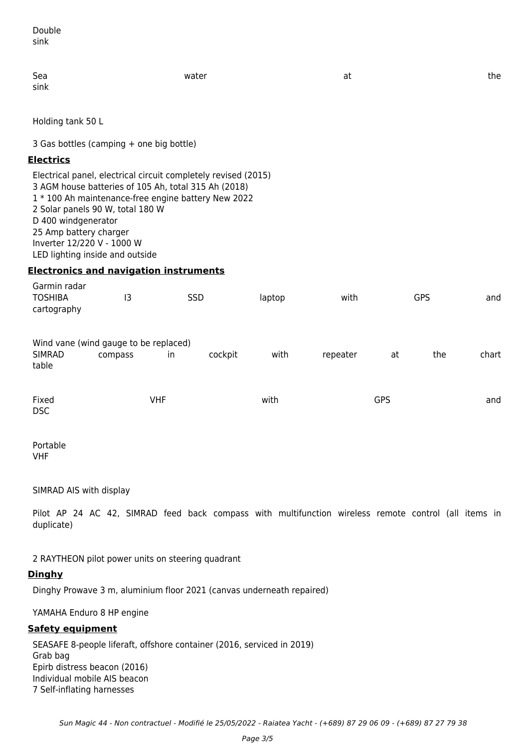Double sink

sink

Sea and the water when the sea water and the sea at the sea at the sea at the sea at the sea at the

Holding tank 50 L

3 Gas bottles (camping + one big bottle)

## **Electrics**

Electrical panel, electrical circuit completely revised (2015) 3 AGM house batteries of 105 Ah, total 315 Ah (2018) 1 \* 100 Ah maintenance-free engine battery New 2022 2 Solar panels 90 W, total 180 W D 400 windgenerator 25 Amp battery charger Inverter 12/220 V - 1000 W LED lighting inside and outside

### **Electronics and navigation instruments**

| table<br>Fixed                                         |         | <b>VHF</b> |         | with   |          | <b>GPS</b> |            | and   |
|--------------------------------------------------------|---------|------------|---------|--------|----------|------------|------------|-------|
| Wind vane (wind gauge to be replaced)<br><b>SIMRAD</b> | compass | in         | cockpit | with   | repeater | at         | the        | chart |
| Garmin radar<br><b>TOSHIBA</b><br>cartography          | 13      | SSD        |         | laptop | with     |            | <b>GPS</b> | and   |

Portable VHF

SIMRAD AIS with display

Pilot AP 24 AC 42, SIMRAD feed back compass with multifunction wireless remote control (all items in duplicate)

2 RAYTHEON pilot power units on steering quadrant

#### **Dinghy**

Dinghy Prowave 3 m, aluminium floor 2021 (canvas underneath repaired)

YAMAHA Enduro 8 HP engine

## **Safety equipment**

SEASAFE 8-people liferaft, offshore container (2016, serviced in 2019) Grab bag Epirb distress beacon (2016) Individual mobile AIS beacon 7 Self-inflating harnesses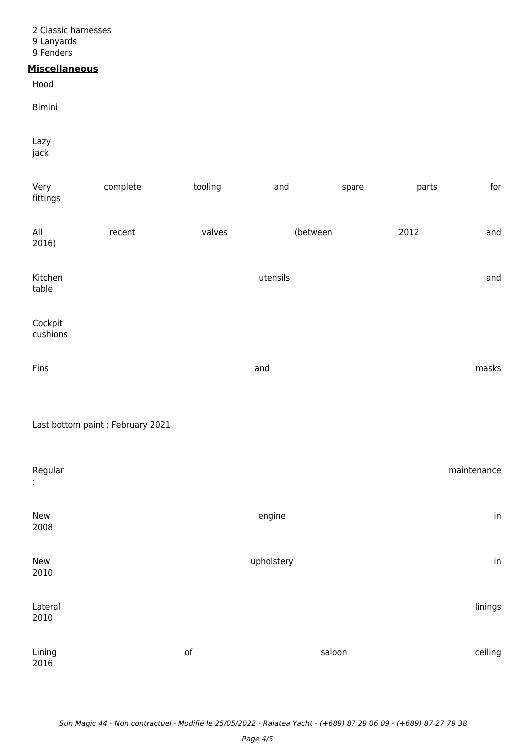2 Classic harnesses 9 Lanyards 9 Fenders

### **Miscellaneous**

Hood

Bimini

Lazy jack

| Very<br>fittings    | complete                          | tooling       | and        | spare    | parts | for         |
|---------------------|-----------------------------------|---------------|------------|----------|-------|-------------|
| All<br>2016)        | recent                            | valves        |            | (between | 2012  | and         |
| Kitchen<br>table    |                                   |               | utensils   |          |       | and         |
| Cockpit<br>cushions |                                   |               |            |          |       |             |
| Fins                |                                   |               | and        |          |       | masks       |
|                     | Last bottom paint : February 2021 |               |            |          |       |             |
| Regular<br>t,       |                                   |               |            |          |       | maintenance |
| New<br>2008         |                                   |               | engine     |          |       | in          |
| New<br>2010         |                                   |               | upholstery |          |       | in          |
| Lateral<br>2010     |                                   |               |            |          |       | linings     |
| Lining<br>2016      |                                   | $\mathsf{of}$ |            | saloon   |       | ceiling     |